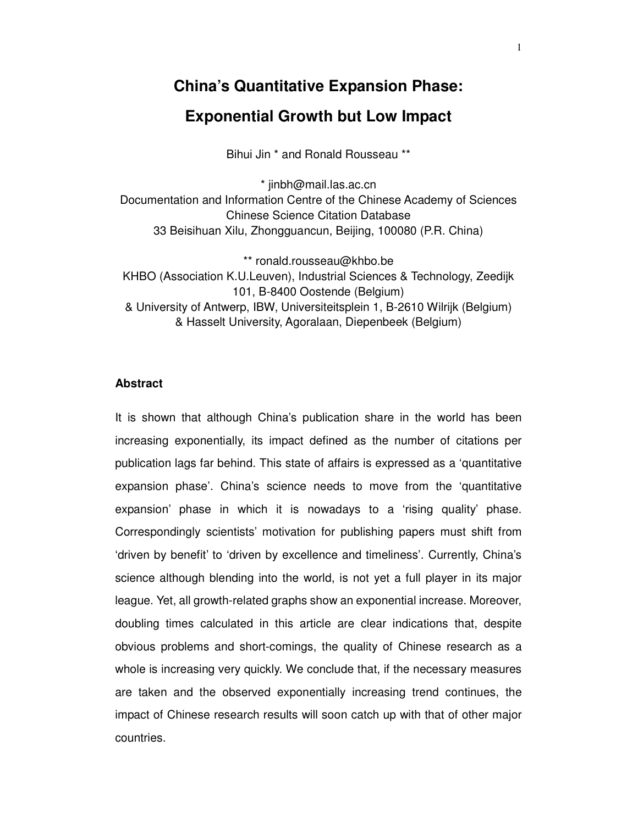# **China's Quantitative Expansion Phase:**

# **Exponential Growth but Low Impact**

Bihui Jin \* and Ronald Rousseau \*\*

\* jinbh@mail.las.ac.cn Documentation and Information Centre of the Chinese Academy of Sciences Chinese Science Citation Database 33 Beisihuan Xilu, Zhongguancun, Beijing, 100080 (P.R. China)

\*\* ronald.rousseau@khbo.be KHBO (Association K.U.Leuven), Industrial Sciences & Technology, Zeedijk 101, B-8400 Oostende (Belgium) & University of Antwerp, IBW, Universiteitsplein 1, B-2610 Wilrijk (Belgium) & Hasselt University, Agoralaan, Diepenbeek (Belgium)

## **Abstract**

It is shown that although China's publication share in the world has been increasing exponentially, its impact defined as the number of citations per publication lags far behind. This state of affairs is expressed as a 'quantitative expansion phase'. China's science needs to move from the 'quantitative expansion' phase in which it is nowadays to a 'rising quality' phase. Correspondingly scientists' motivation for publishing papers must shift from 'driven by benefit' to 'driven by excellence and timeliness'. Currently, China's science although blending into the world, is not yet a full player in its major league. Yet, all growth-related graphs show an exponential increase. Moreover, doubling times calculated in this article are clear indications that, despite obvious problems and short-comings, the quality of Chinese research as a whole is increasing very quickly. We conclude that, if the necessary measures are taken and the observed exponentially increasing trend continues, the impact of Chinese research results will soon catch up with that of other major countries.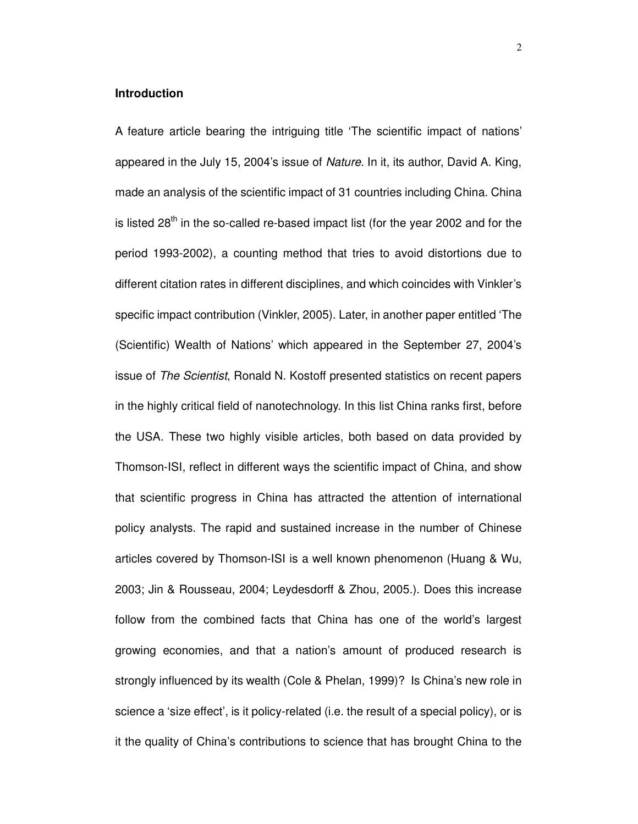## **Introduction**

A feature article bearing the intriguing title 'The scientific impact of nations' appeared in the July 15, 2004's issue of *Nature*. In it, its author, David A. King, made an analysis of the scientific impact of 31 countries including China. China is listed 28<sup>th</sup> in the so-called re-based impact list (for the year 2002 and for the period 1993-2002), a counting method that tries to avoid distortions due to different citation rates in different disciplines, and which coincides with Vinkler's specific impact contribution (Vinkler, 2005). Later, in another paper entitled 'The (Scientific) Wealth of Nations' which appeared in the September 27, 2004's issue of *The Scientist*, Ronald N. Kostoff presented statistics on recent papers in the highly critical field of nanotechnology. In this list China ranks first, before the USA. These two highly visible articles, both based on data provided by Thomson-ISI, reflect in different ways the scientific impact of China, and show that scientific progress in China has attracted the attention of international policy analysts. The rapid and sustained increase in the number of Chinese articles covered by Thomson-ISI is a well known phenomenon (Huang & Wu, 2003; Jin & Rousseau, 2004; Leydesdorff & Zhou, 2005.). Does this increase follow from the combined facts that China has one of the world's largest growing economies, and that a nation's amount of produced research is strongly influenced by its wealth (Cole & Phelan, 1999)? Is China's new role in science a 'size effect', is it policy-related (i.e. the result of a special policy), or is it the quality of China's contributions to science that has brought China to the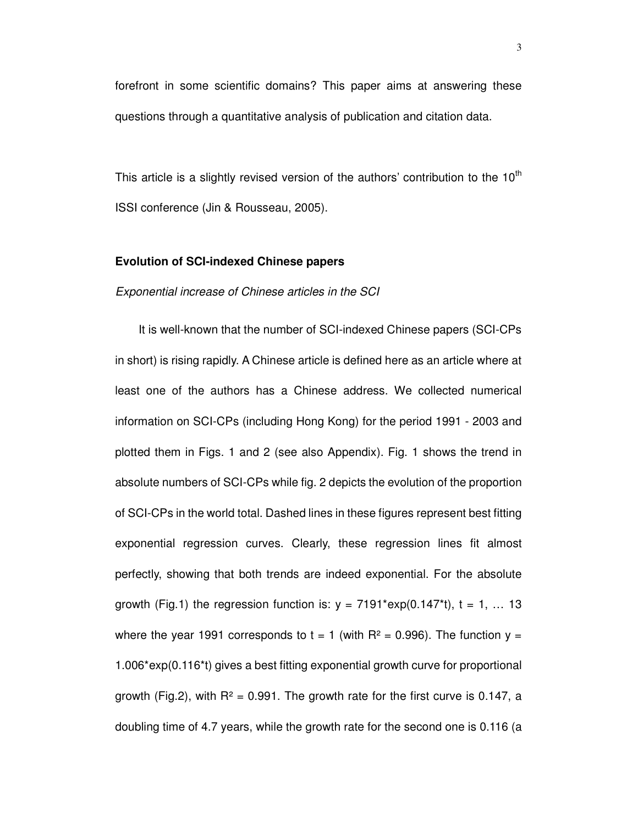forefront in some scientific domains? This paper aims at answering these questions through a quantitative analysis of publication and citation data.

This article is a slightly revised version of the authors' contribution to the  $10<sup>th</sup>$ ISSI conference (Jin & Rousseau, 2005).

#### **Evolution of SCI-indexed Chinese papers**

### *Exponential increase of Chinese articles in the SCI*

It is well-known that the number of SCI-indexed Chinese papers (SCI-CPs in short) is rising rapidly. A Chinese article is defined here as an article where at least one of the authors has a Chinese address. We collected numerical information on SCI-CPs (including Hong Kong) for the period 1991 - 2003 and plotted them in Figs. 1 and 2 (see also Appendix). Fig. 1 shows the trend in absolute numbers of SCI-CPs while fig. 2 depicts the evolution of the proportion of SCI-CPs in the world total. Dashed lines in these figures represent best fitting exponential regression curves. Clearly, these regression lines fit almost perfectly, showing that both trends are indeed exponential. For the absolute growth (Fig.1) the regression function is:  $y = 7191$ <sup>\*</sup>exp(0.147<sup>\*</sup>t),  $t = 1, \ldots 13$ where the year 1991 corresponds to t = 1 (with  $R^2$  = 0.996). The function y = 1.006\*exp(0.116\*t) gives a best fitting exponential growth curve for proportional growth (Fig.2), with  $R^2 = 0.991$ . The growth rate for the first curve is 0.147, a doubling time of 4.7 years, while the growth rate for the second one is 0.116 (a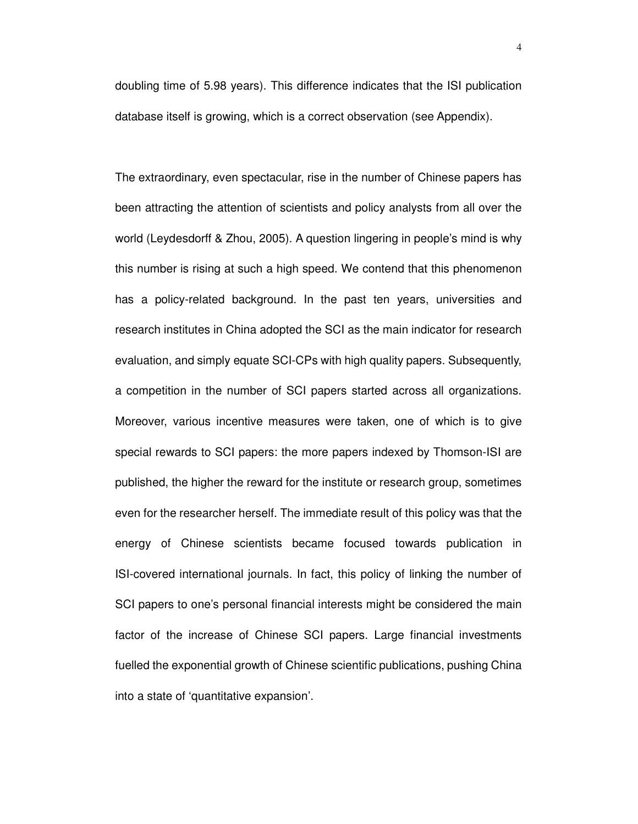doubling time of 5.98 years). This difference indicates that the ISI publication database itself is growing, which is a correct observation (see Appendix).

The extraordinary, even spectacular, rise in the number of Chinese papers has been attracting the attention of scientists and policy analysts from all over the world (Leydesdorff & Zhou, 2005). A question lingering in people's mind is why this number is rising at such a high speed. We contend that this phenomenon has a policy-related background. In the past ten years, universities and research institutes in China adopted the SCI as the main indicator for research evaluation, and simply equate SCI-CPs with high quality papers. Subsequently, a competition in the number of SCI papers started across all organizations. Moreover, various incentive measures were taken, one of which is to give special rewards to SCI papers: the more papers indexed by Thomson-ISI are published, the higher the reward for the institute or research group, sometimes even for the researcher herself. The immediate result of this policy was that the energy of Chinese scientists became focused towards publication in ISI-covered international journals. In fact, this policy of linking the number of SCI papers to one's personal financial interests might be considered the main factor of the increase of Chinese SCI papers. Large financial investments fuelled the exponential growth of Chinese scientific publications, pushing China into a state of 'quantitative expansion'.

4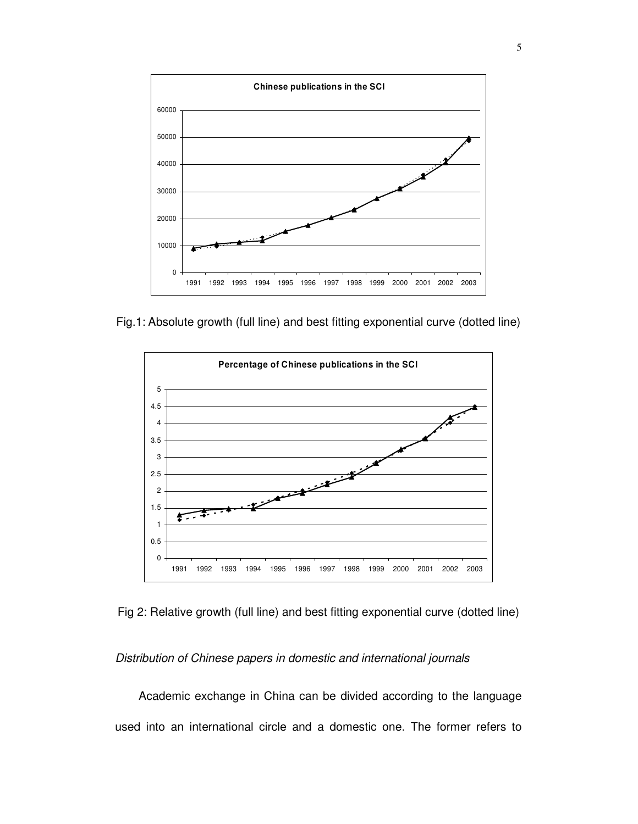

Fig.1: Absolute growth (full line) and best fitting exponential curve (dotted line)



Fig 2: Relative growth (full line) and best fitting exponential curve (dotted line)

## *Distribution of Chinese papers in domestic and international journals*

Academic exchange in China can be divided according to the language used into an international circle and a domestic one. The former refers to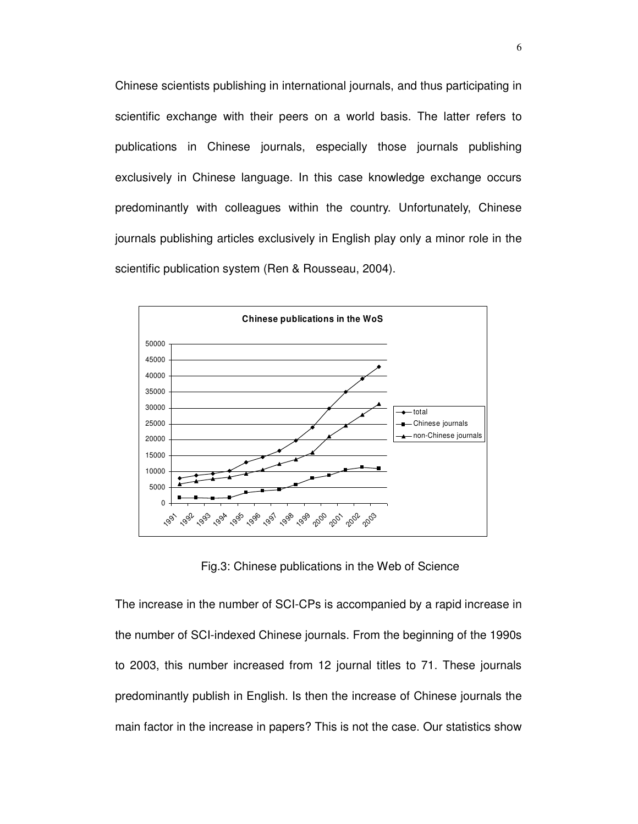Chinese scientists publishing in international journals, and thus participating in scientific exchange with their peers on a world basis. The latter refers to publications in Chinese journals, especially those journals publishing exclusively in Chinese language. In this case knowledge exchange occurs predominantly with colleagues within the country. Unfortunately, Chinese journals publishing articles exclusively in English play only a minor role in the scientific publication system (Ren & Rousseau, 2004).



Fig.3: Chinese publications in the Web of Science

The increase in the number of SCI-CPs is accompanied by a rapid increase in the number of SCI-indexed Chinese journals. From the beginning of the 1990s to 2003, this number increased from 12 journal titles to 71. These journals predominantly publish in English. Is then the increase of Chinese journals the main factor in the increase in papers? This is not the case. Our statistics show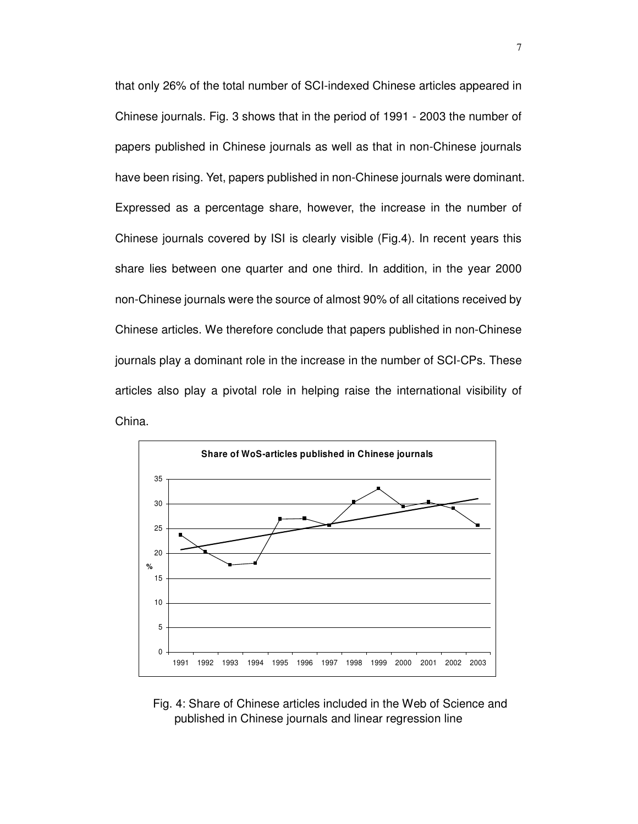that only 26% of the total number of SCI-indexed Chinese articles appeared in Chinese journals. Fig. 3 shows that in the period of 1991 - 2003 the number of papers published in Chinese journals as well as that in non-Chinese journals have been rising. Yet, papers published in non-Chinese journals were dominant. Expressed as a percentage share, however, the increase in the number of Chinese journals covered by ISI is clearly visible (Fig.4). In recent years this share lies between one quarter and one third. In addition, in the year 2000 non-Chinese journals were the source of almost 90% of all citations received by Chinese articles. We therefore conclude that papers published in non-Chinese journals play a dominant role in the increase in the number of SCI-CPs. These articles also play a pivotal role in helping raise the international visibility of China.



Fig. 4: Share of Chinese articles included in the Web of Science and published in Chinese journals and linear regression line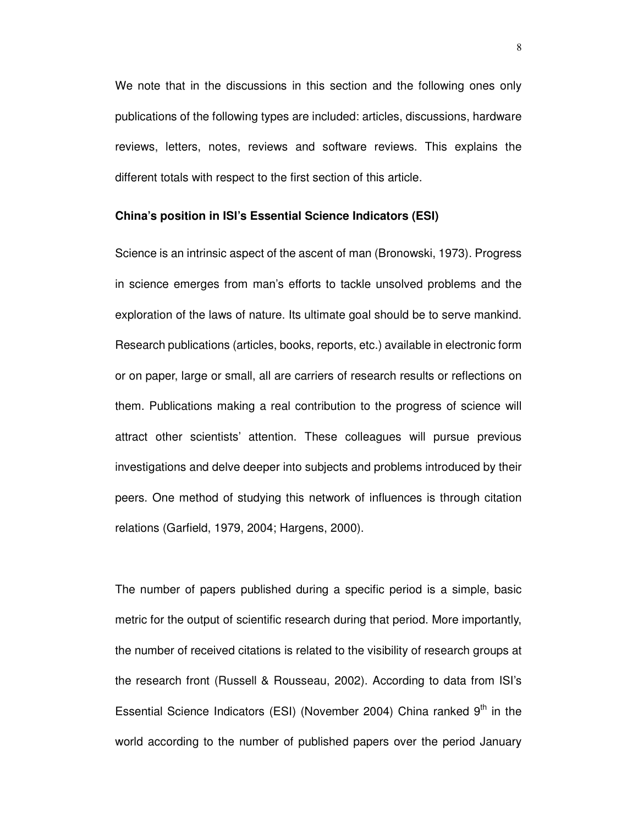We note that in the discussions in this section and the following ones only publications of the following types are included: articles, discussions, hardware reviews, letters, notes, reviews and software reviews. This explains the different totals with respect to the first section of this article.

#### **China's position in ISI's Essential Science Indicators (ESI)**

Science is an intrinsic aspect of the ascent of man (Bronowski, 1973). Progress in science emerges from man's efforts to tackle unsolved problems and the exploration of the laws of nature. Its ultimate goal should be to serve mankind. Research publications (articles, books, reports, etc.) available in electronic form or on paper, large or small, all are carriers of research results or reflections on them. Publications making a real contribution to the progress of science will attract other scientists' attention. These colleagues will pursue previous investigations and delve deeper into subjects and problems introduced by their peers. One method of studying this network of influences is through citation relations (Garfield, 1979, 2004; Hargens, 2000).

The number of papers published during a specific period is a simple, basic metric for the output of scientific research during that period. More importantly, the number of received citations is related to the visibility of research groups at the research front (Russell & Rousseau, 2002). According to data from ISI's Essential Science Indicators (ESI) (November 2004) China ranked 9<sup>th</sup> in the world according to the number of published papers over the period January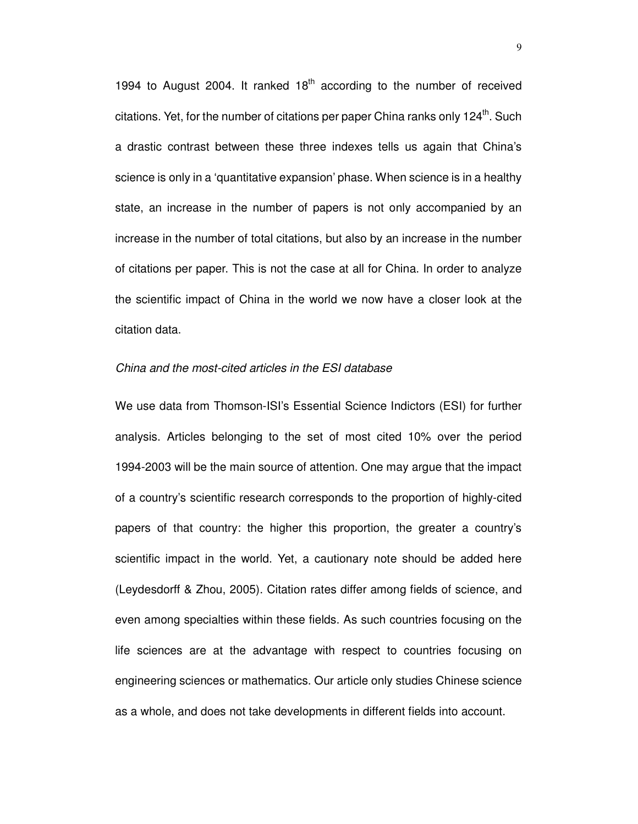1994 to August 2004. It ranked  $18<sup>th</sup>$  according to the number of received citations. Yet, for the number of citations per paper China ranks only 124<sup>th</sup>. Such a drastic contrast between these three indexes tells us again that China's science is only in a 'quantitative expansion' phase. When science is in a healthy state, an increase in the number of papers is not only accompanied by an increase in the number of total citations, but also by an increase in the number of citations per paper. This is not the case at all for China. In order to analyze the scientific impact of China in the world we now have a closer look at the citation data.

#### *China and the most-cited articles in the ESI database*

We use data from Thomson-ISI's Essential Science Indictors (ESI) for further analysis. Articles belonging to the set of most cited 10% over the period 1994-2003 will be the main source of attention. One may argue that the impact of a country's scientific research corresponds to the proportion of highly-cited papers of that country: the higher this proportion, the greater a country's scientific impact in the world. Yet, a cautionary note should be added here (Leydesdorff & Zhou, 2005). Citation rates differ among fields of science, and even among specialties within these fields. As such countries focusing on the life sciences are at the advantage with respect to countries focusing on engineering sciences or mathematics. Our article only studies Chinese science as a whole, and does not take developments in different fields into account.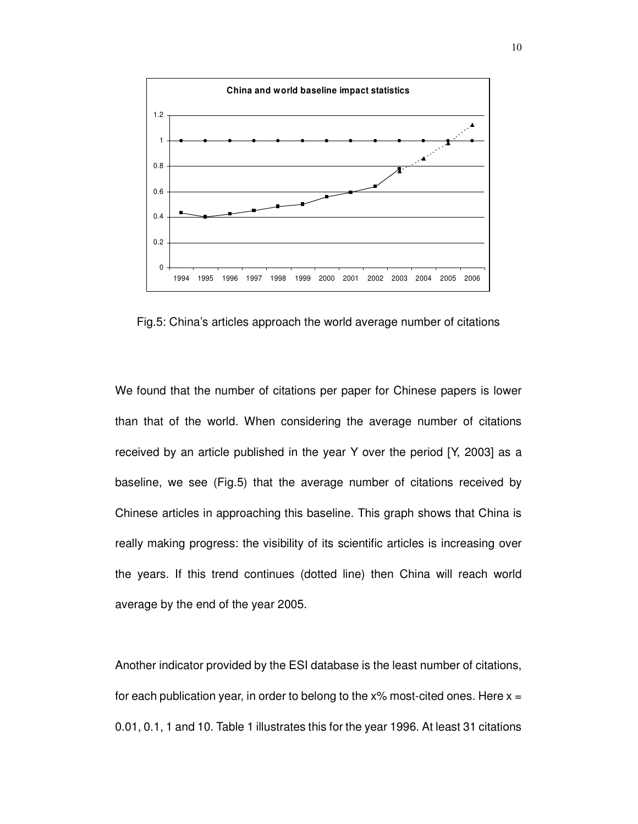

Fig.5: China's articles approach the world average number of citations

We found that the number of citations per paper for Chinese papers is lower than that of the world. When considering the average number of citations received by an article published in the year Y over the period [Y, 2003] as a baseline, we see (Fig.5) that the average number of citations received by Chinese articles in approaching this baseline. This graph shows that China is really making progress: the visibility of its scientific articles is increasing over the years. If this trend continues (dotted line) then China will reach world average by the end of the year 2005.

Another indicator provided by the ESI database is the least number of citations, for each publication year, in order to belong to the  $x$ % most-cited ones. Here  $x =$ 0.01, 0.1, 1 and 10. Table 1 illustrates this for the year 1996. At least 31 citations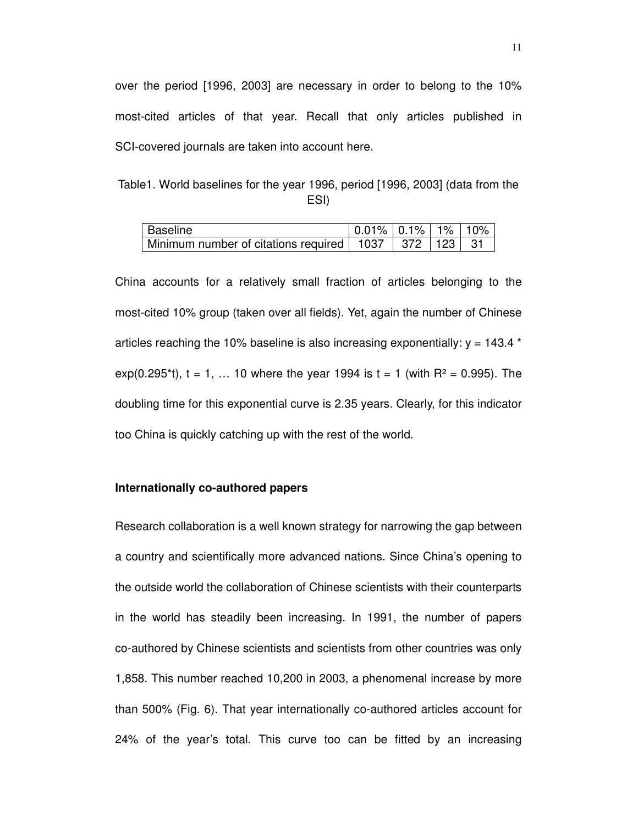over the period [1996, 2003] are necessary in order to belong to the 10% most-cited articles of that year. Recall that only articles published in SCI-covered journals are taken into account here.

Table1. World baselines for the year 1996, period [1996, 2003] (data from the ESI)

| Baseline                                                     | $\mid 0.01\% \mid 0.1\% \mid 1\% \mid 10\%$ |  |  |
|--------------------------------------------------------------|---------------------------------------------|--|--|
| Minimum number of citations required   1037   372   123   31 |                                             |  |  |

China accounts for a relatively small fraction of articles belonging to the most-cited 10% group (taken over all fields). Yet, again the number of Chinese articles reaching the 10% baseline is also increasing exponentially:  $y = 143.4$ <sup>\*</sup> exp(0.295<sup>\*</sup>t), t = 1, ... 10 where the year 1994 is t = 1 (with R<sup>2</sup> = 0.995). The doubling time for this exponential curve is 2.35 years. Clearly, for this indicator too China is quickly catching up with the rest of the world.

#### **Internationally co-authored papers**

Research collaboration is a well known strategy for narrowing the gap between a country and scientifically more advanced nations. Since China's opening to the outside world the collaboration of Chinese scientists with their counterparts in the world has steadily been increasing. In 1991, the number of papers co-authored by Chinese scientists and scientists from other countries was only 1,858. This number reached 10,200 in 2003, a phenomenal increase by more than 500% (Fig. 6). That year internationally co-authored articles account for 24% of the year's total. This curve too can be fitted by an increasing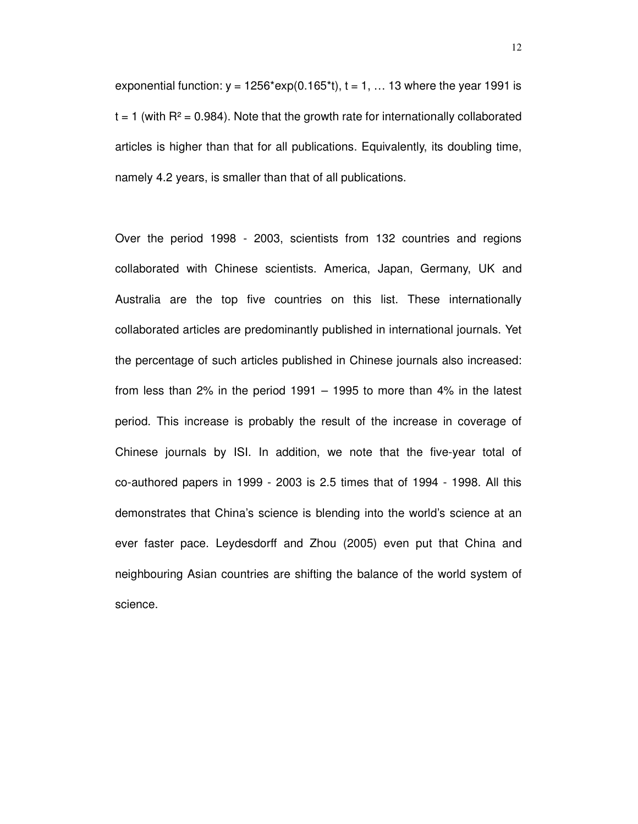exponential function:  $y = 1256*exp(0.165*t)$ ,  $t = 1, \ldots 13$  where the year 1991 is  $t = 1$  (with  $R<sup>2</sup> = 0.984$ ). Note that the growth rate for internationally collaborated articles is higher than that for all publications. Equivalently, its doubling time, namely 4.2 years, is smaller than that of all publications.

Over the period 1998 - 2003, scientists from 132 countries and regions collaborated with Chinese scientists. America, Japan, Germany, UK and Australia are the top five countries on this list. These internationally collaborated articles are predominantly published in international journals. Yet the percentage of such articles published in Chinese journals also increased: from less than 2% in the period 1991 – 1995 to more than 4% in the latest period. This increase is probably the result of the increase in coverage of Chinese journals by ISI. In addition, we note that the five-year total of co-authored papers in 1999 - 2003 is 2.5 times that of 1994 - 1998. All this demonstrates that China's science is blending into the world's science at an ever faster pace. Leydesdorff and Zhou (2005) even put that China and neighbouring Asian countries are shifting the balance of the world system of science.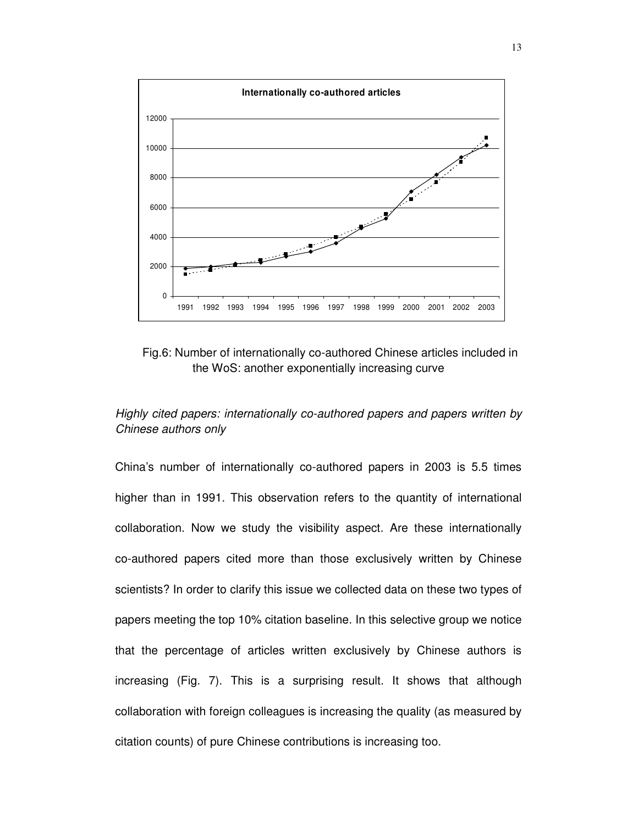

Fig.6: Number of internationally co-authored Chinese articles included in the WoS: another exponentially increasing curve

## *Highly cited papers: internationally co-authored papers and papers written by Chinese authors only*

China's number of internationally co-authored papers in 2003 is 5.5 times higher than in 1991. This observation refers to the quantity of international collaboration. Now we study the visibility aspect. Are these internationally co-authored papers cited more than those exclusively written by Chinese scientists? In order to clarify this issue we collected data on these two types of papers meeting the top 10% citation baseline. In this selective group we notice that the percentage of articles written exclusively by Chinese authors is increasing (Fig. 7). This is a surprising result. It shows that although collaboration with foreign colleagues is increasing the quality (as measured by citation counts) of pure Chinese contributions is increasing too.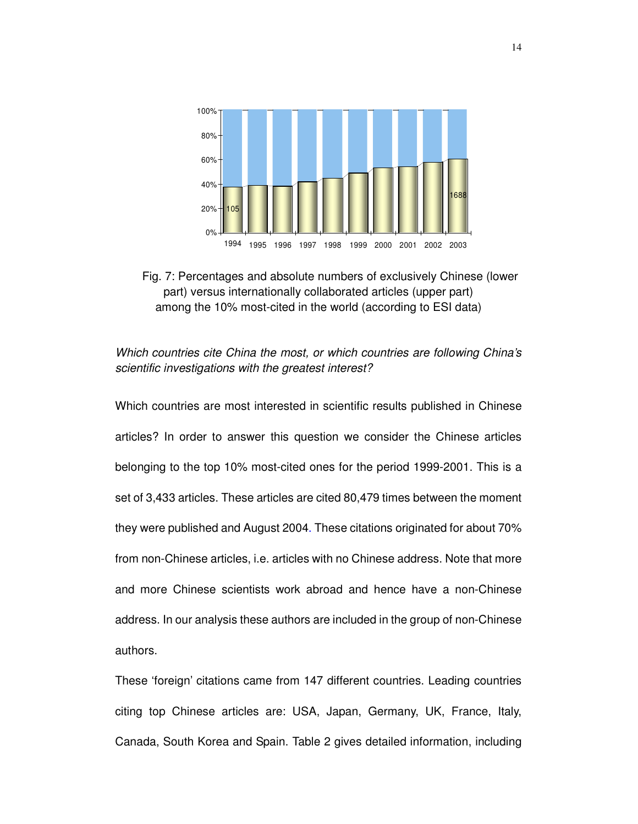



## *Which countries cite China the most, or which countries are following China's scientific investigations with the greatest interest?*

Which countries are most interested in scientific results published in Chinese articles? In order to answer this question we consider the Chinese articles belonging to the top 10% most-cited ones for the period 1999-2001. This is a set of 3,433 articles. These articles are cited 80,479 times between the moment they were published and August 2004. These citations originated for about 70% from non-Chinese articles, i.e. articles with no Chinese address. Note that more and more Chinese scientists work abroad and hence have a non-Chinese address. In our analysis these authors are included in the group of non-Chinese authors.

These 'foreign' citations came from 147 different countries. Leading countries citing top Chinese articles are: USA, Japan, Germany, UK, France, Italy, Canada, South Korea and Spain. Table 2 gives detailed information, including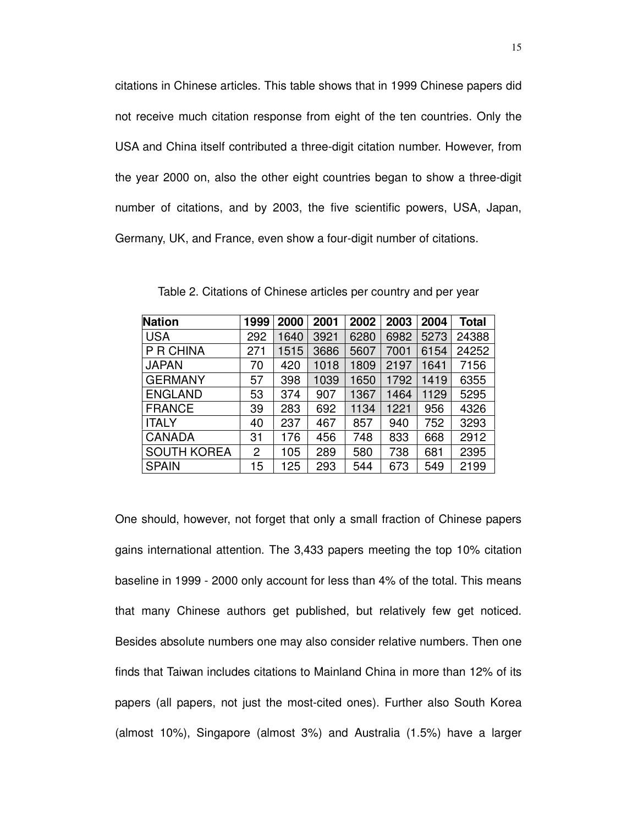citations in Chinese articles. This table shows that in 1999 Chinese papers did not receive much citation response from eight of the ten countries. Only the USA and China itself contributed a three-digit citation number. However, from the year 2000 on, also the other eight countries began to show a three-digit number of citations, and by 2003, the five scientific powers, USA, Japan, Germany, UK, and France, even show a four-digit number of citations.

| <b>Nation</b>      | 1999 | 2000 | 2001 | 2002 | 2003 | 2004 | <b>Total</b> |
|--------------------|------|------|------|------|------|------|--------------|
| <b>USA</b>         | 292  | 1640 | 3921 | 6280 | 6982 | 5273 | 24388        |
| P R CHINA          | 271  | 1515 | 3686 | 5607 | 7001 | 6154 | 24252        |
| <b>JAPAN</b>       | 70   | 420  | 1018 | 1809 | 2197 | 1641 | 7156         |
| <b>GERMANY</b>     | 57   | 398  | 1039 | 1650 | 1792 | 1419 | 6355         |
| <b>ENGLAND</b>     | 53   | 374  | 907  | 1367 | 1464 | 1129 | 5295         |
| <b>FRANCE</b>      | 39   | 283  | 692  | 1134 | 1221 | 956  | 4326         |
| <b>ITALY</b>       | 40   | 237  | 467  | 857  | 940  | 752  | 3293         |
| <b>CANADA</b>      | 31   | 176  | 456  | 748  | 833  | 668  | 2912         |
| <b>SOUTH KOREA</b> | 2    | 105  | 289  | 580  | 738  | 681  | 2395         |
| <b>SPAIN</b>       | 15   | 125  | 293  | 544  | 673  | 549  | 2199         |

Table 2. Citations of Chinese articles per country and per year

One should, however, not forget that only a small fraction of Chinese papers gains international attention. The 3,433 papers meeting the top 10% citation baseline in 1999 - 2000 only account for less than 4% of the total. This means that many Chinese authors get published, but relatively few get noticed. Besides absolute numbers one may also consider relative numbers. Then one finds that Taiwan includes citations to Mainland China in more than 12% of its papers (all papers, not just the most-cited ones). Further also South Korea (almost 10%), Singapore (almost 3%) and Australia (1.5%) have a larger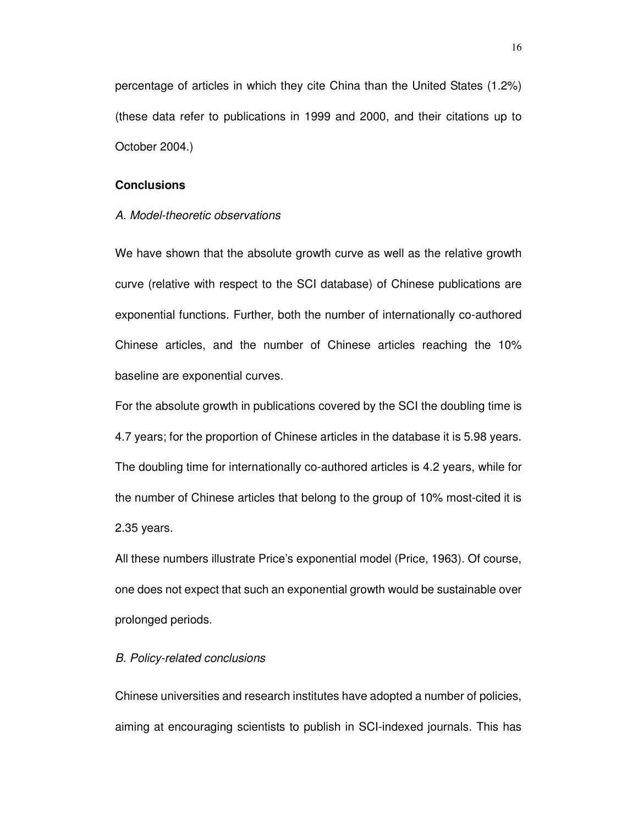percentage of articles in which they cite China than the United States (1.2%) (these data refer to publications in 1999 and 2000, and their citations up to October 2004.)

## **Conclusions**

## *A. Model-theoretic observations*

We have shown that the absolute growth curve as well as the relative growth curve (relative with respect to the SCI database) of Chinese publications are exponential functions. Further, both the number of internationally co-authored Chinese articles, and the number of Chinese articles reaching the 10% baseline are exponential curves.

For the absolute growth in publications covered by the SCI the doubling time is 4.7 years; for the proportion of Chinese articles in the database it is 5.98 years. The doubling time for internationally co-authored articles is 4.2 years, while for the number of Chinese articles that belong to the group of 10% most-cited it is 2.35 years.

All these numbers illustrate Price's exponential model (Price, 1963). Of course, one does not expect that such an exponential growth would be sustainable over prolonged periods.

## *B. Policy-related conclusions*

Chinese universities and research institutes have adopted a number of policies, aiming at encouraging scientists to publish in SCI-indexed journals. This has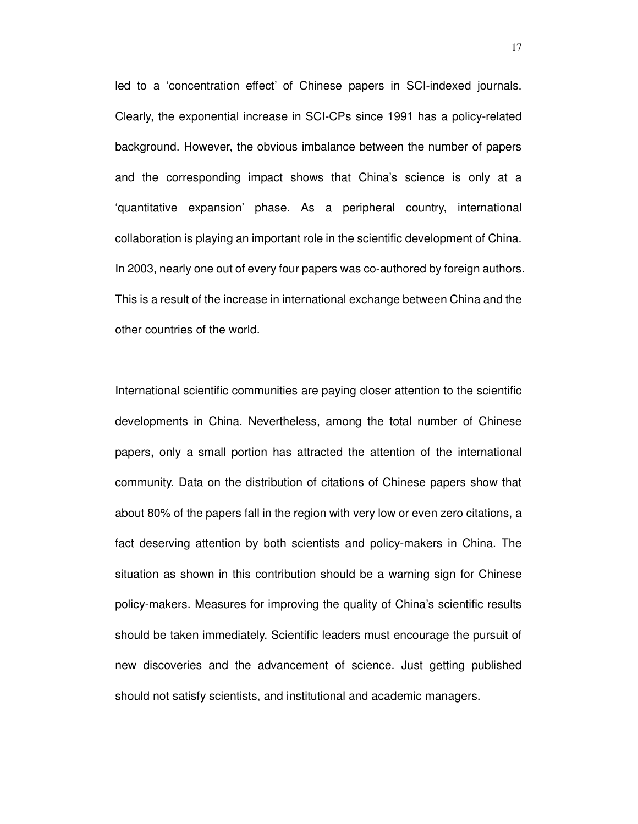led to a 'concentration effect' of Chinese papers in SCI-indexed journals. Clearly, the exponential increase in SCI-CPs since 1991 has a policy-related background. However, the obvious imbalance between the number of papers and the corresponding impact shows that China's science is only at a 'quantitative expansion' phase. As a peripheral country, international collaboration is playing an important role in the scientific development of China. In 2003, nearly one out of every four papers was co-authored by foreign authors. This is a result of the increase in international exchange between China and the other countries of the world.

International scientific communities are paying closer attention to the scientific developments in China. Nevertheless, among the total number of Chinese papers, only a small portion has attracted the attention of the international community. Data on the distribution of citations of Chinese papers show that about 80% of the papers fall in the region with very low or even zero citations, a fact deserving attention by both scientists and policy-makers in China. The situation as shown in this contribution should be a warning sign for Chinese policy-makers. Measures for improving the quality of China's scientific results should be taken immediately. Scientific leaders must encourage the pursuit of new discoveries and the advancement of science. Just getting published should not satisfy scientists, and institutional and academic managers.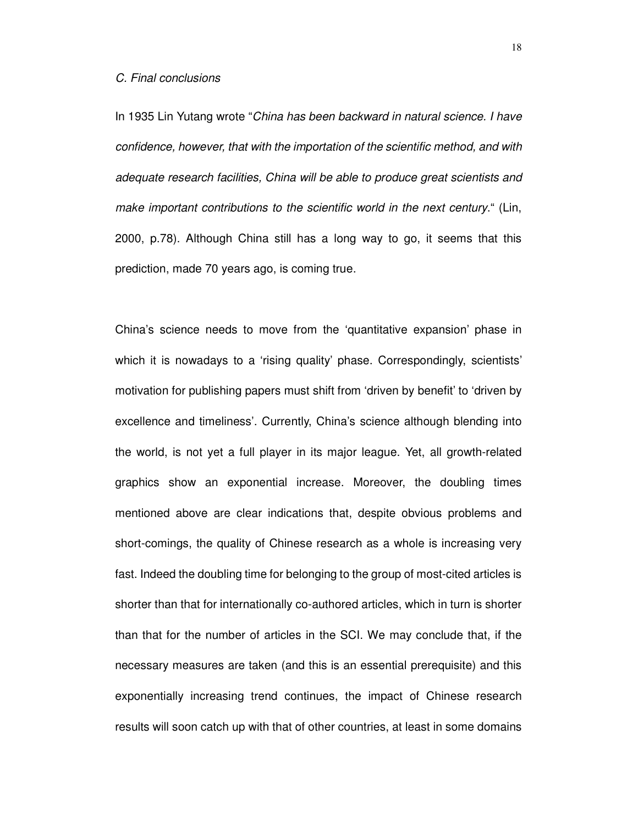In 1935 Lin Yutang wrote "*China has been backward in natural science. I have confidence, however, that with the importation of the scientific method, and with adequate research facilities, China will be able to produce great scientists and make important contributions to the scientific world in the next century*." (Lin, 2000, p.78). Although China still has a long way to go, it seems that this prediction, made 70 years ago, is coming true.

China's science needs to move from the 'quantitative expansion' phase in which it is nowadays to a 'rising quality' phase. Correspondingly, scientists' motivation for publishing papers must shift from 'driven by benefit' to 'driven by excellence and timeliness'. Currently, China's science although blending into the world, is not yet a full player in its major league. Yet, all growth-related graphics show an exponential increase. Moreover, the doubling times mentioned above are clear indications that, despite obvious problems and short-comings, the quality of Chinese research as a whole is increasing very fast. Indeed the doubling time for belonging to the group of most-cited articles is shorter than that for internationally co-authored articles, which in turn is shorter than that for the number of articles in the SCI. We may conclude that, if the necessary measures are taken (and this is an essential prerequisite) and this exponentially increasing trend continues, the impact of Chinese research results will soon catch up with that of other countries, at least in some domains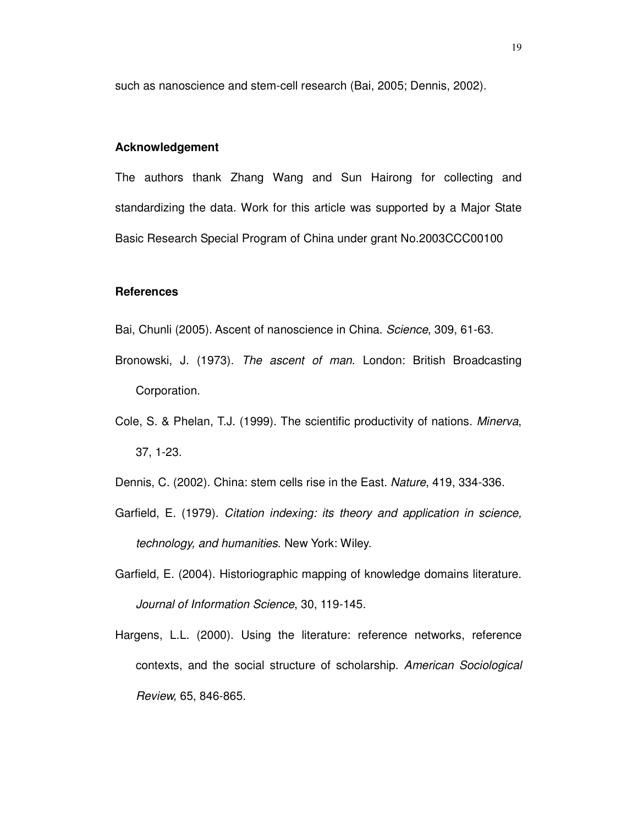such as nanoscience and stem-cell research (Bai, 2005; Dennis, 2002).

#### **Acknowledgement**

The authors thank Zhang Wang and Sun Hairong for collecting and standardizing the data. Work for this article was supported by a Major State Basic Research Special Program of China under grant No.2003CCC00100

## **References**

Bai, Chunli (2005). Ascent of nanoscience in China. *Science*, 309, 61-63.

- Bronowski, J. (1973). *The ascent of man*. London: British Broadcasting Corporation.
- Cole, S. & Phelan, T.J. (1999). The scientific productivity of nations. *Minerva*, 37, 1-23.

Dennis, C. (2002). China: stem cells rise in the East. *Nature*, 419, 334-336.

- Garfield, E. (1979). *Citation indexing: its theory and application in science, technology, and humanities*. New York: Wiley.
- Garfield, E. (2004). Historiographic mapping of knowledge domains literature. *Journal of Information Science*, 30, 119-145.
- Hargens, L.L. (2000). Using the literature: reference networks, reference contexts, and the social structure of scholarship. *American Sociological Review,* 65, 846-865.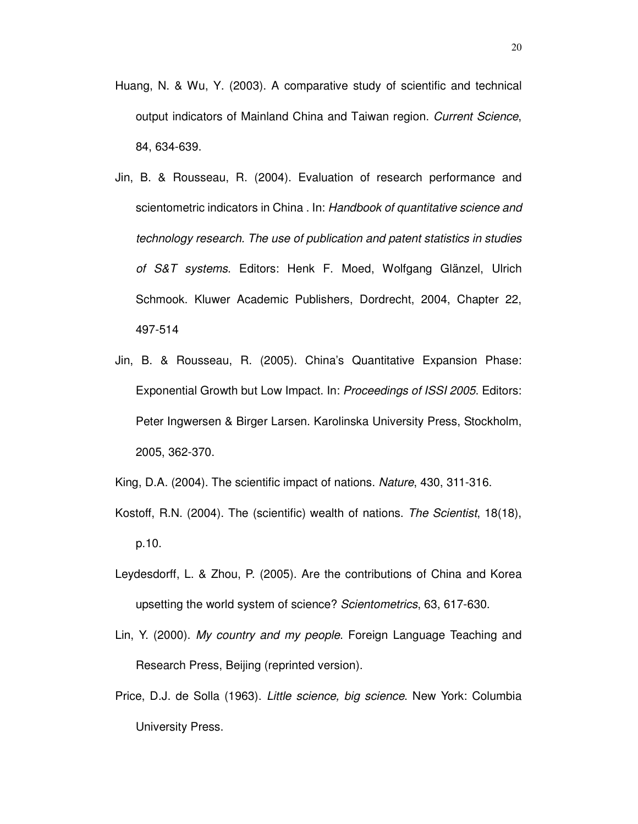- Huang, N. & Wu, Y. (2003). A comparative study of scientific and technical output indicators of Mainland China and Taiwan region. *Current Science*, 84, 634-639.
- Jin, B. & Rousseau, R. (2004). Evaluation of research performance and scientometric indicators in China . In: *Handbook of quantitative science and technology research. The use of publication and patent statistics in studies of S&T systems*. Editors: Henk F. Moed, Wolfgang Glänzel, Ulrich Schmook. Kluwer Academic Publishers, Dordrecht, 2004, Chapter 22, 497-514
- Jin, B. & Rousseau, R. (2005). China's Quantitative Expansion Phase: Exponential Growth but Low Impact. In: *Proceedings of ISSI 2005*. Editors: Peter Ingwersen & Birger Larsen. Karolinska University Press, Stockholm, 2005, 362-370.
- King, D.A. (2004). The scientific impact of nations. *Nature*, 430, 311-316.
- Kostoff, R.N. (2004). The (scientific) wealth of nations. *The Scientist*, 18(18), p.10.
- Leydesdorff, L. & Zhou, P. (2005). Are the contributions of China and Korea upsetting the world system of science? *Scientometrics*, 63, 617-630.
- Lin, Y. (2000). *My country and my people*. Foreign Language Teaching and Research Press, Beijing (reprinted version).
- Price, D.J. de Solla (1963). *Little science, big science*. New York: Columbia University Press.